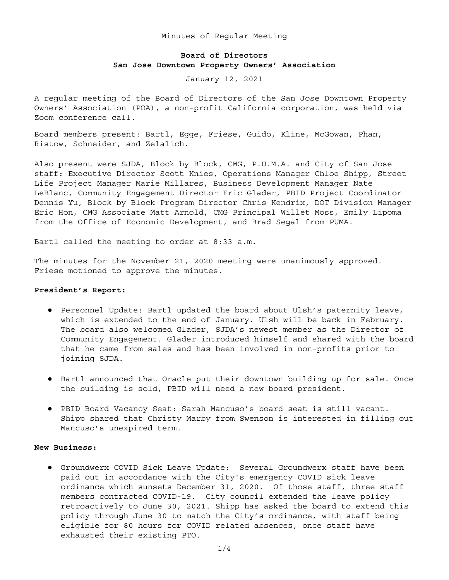Minutes of Regular Meeting

# **Board of Directors San Jose Downtown Property Owners' Association**

January 12, 2021

A regular meeting of the Board of Directors of the San Jose Downtown Property Owners' Association (POA), a non-profit California corporation, was held via Zoom conference call.

Board members present: Bartl, Egge, Friese, Guido, Kline, McGowan, Phan, Ristow, Schneider, and Zelalich.

Also present were SJDA, Block by Block, CMG, P.U.M.A. and City of San Jose staff: Executive Director Scott Knies, Operations Manager Chloe Shipp, Street Life Project Manager Marie Millares, Business Development Manager Nate LeBlanc, Community Engagement Director Eric Glader, PBID Project Coordinator Dennis Yu, Block by Block Program Director Chris Kendrix, DOT Division Manager Eric Hon, CMG Associate Matt Arnold, CMG Principal Willet Moss, Emily Lipoma from the Office of Economic Development, and Brad Segal from PUMA.

Bartl called the meeting to order at 8:33 a.m.

The minutes for the November 21, 2020 meeting were unanimously approved. Friese motioned to approve the minutes.

## **President's Report:**

- Personnel Update: Bartl updated the board about Ulsh's paternity leave, which is extended to the end of January. Ulsh will be back in February. The board also welcomed Glader, SJDA's newest member as the Director of Community Engagement. Glader introduced himself and shared with the board that he came from sales and has been involved in non-profits prior to joining SJDA.
- Bartl announced that Oracle put their downtown building up for sale. Once the building is sold, PBID will need a new board president.
- PBID Board Vacancy Seat: Sarah Mancuso's board seat is still vacant. Shipp shared that Christy Marby from Swenson is interested in filling out Mancuso's unexpired term.

### **New Business:**

● Groundwerx COVID Sick Leave Update: Several Groundwerx staff have been paid out in accordance with the City's emergency COVID sick leave ordinance which sunsets December 31, 2020. Of those staff, three staff members contracted COVID-19. City council extended the leave policy retroactively to June 30, 2021. Shipp has asked the board to extend this policy through June 30 to match the City's ordinance, with staff being eligible for 80 hours for COVID related absences, once staff have exhausted their existing PTO.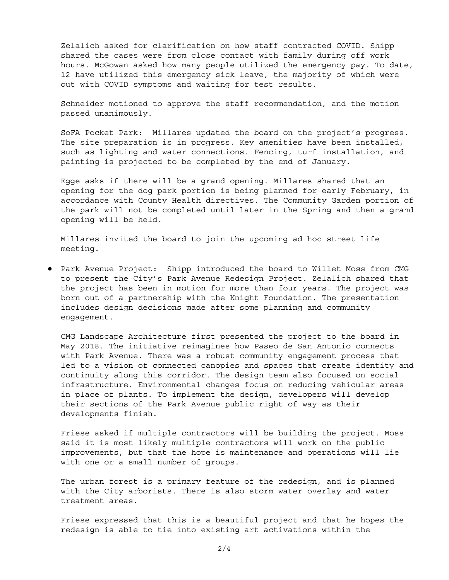Zelalich asked for clarification on how staff contracted COVID. Shipp shared the cases were from close contact with family during off work hours. McGowan asked how many people utilized the emergency pay. To date, 12 have utilized this emergency sick leave, the majority of which were out with COVID symptoms and waiting for test results.

Schneider motioned to approve the staff recommendation, and the motion passed unanimously.

SoFA Pocket Park: Millares updated the board on the project's progress. The site preparation is in progress. Key amenities have been installed, such as lighting and water connections. Fencing, turf installation, and painting is projected to be completed by the end of January.

Egge asks if there will be a grand opening. Millares shared that an opening for the dog park portion is being planned for early February, in accordance with County Health directives. The Community Garden portion of the park will not be completed until later in the Spring and then a grand opening will be held.

Millares invited the board to join the upcoming ad hoc street life meeting.

● Park Avenue Project: Shipp introduced the board to Willet Moss from CMG to present the City's Park Avenue Redesign Project. Zelalich shared that the project has been in motion for more than four years. The project was born out of a partnership with the Knight Foundation. The presentation includes design decisions made after some planning and community engagement.

CMG Landscape Architecture first presented the project to the board in May 2018. The initiative reimagines how Paseo de San Antonio connects with Park Avenue. There was a robust community engagement process that led to a vision of connected canopies and spaces that create identity and continuity along this corridor. The design team also focused on social infrastructure. Environmental changes focus on reducing vehicular areas in place of plants. To implement the design, developers will develop their sections of the Park Avenue public right of way as their developments finish.

Friese asked if multiple contractors will be building the project. Moss said it is most likely multiple contractors will work on the public improvements, but that the hope is maintenance and operations will lie with one or a small number of groups.

The urban forest is a primary feature of the redesign, and is planned with the City arborists. There is also storm water overlay and water treatment areas.

Friese expressed that this is a beautiful project and that he hopes the redesign is able to tie into existing art activations within the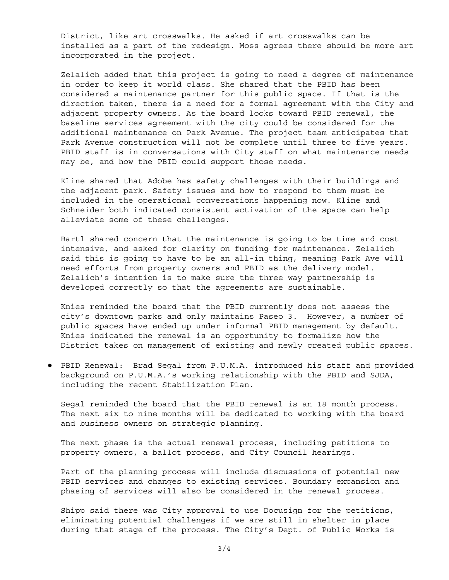District, like art crosswalks. He asked if art crosswalks can be installed as a part of the redesign. Moss agrees there should be more art incorporated in the project.

Zelalich added that this project is going to need a degree of maintenance in order to keep it world class. She shared that the PBID has been considered a maintenance partner for this public space. If that is the direction taken, there is a need for a formal agreement with the City and adjacent property owners. As the board looks toward PBID renewal, the baseline services agreement with the city could be considered for the additional maintenance on Park Avenue. The project team anticipates that Park Avenue construction will not be complete until three to five years. PBID staff is in conversations with City staff on what maintenance needs may be, and how the PBID could support those needs.

Kline shared that Adobe has safety challenges with their buildings and the adjacent park. Safety issues and how to respond to them must be included in the operational conversations happening now. Kline and Schneider both indicated consistent activation of the space can help alleviate some of these challenges.

Bartl shared concern that the maintenance is going to be time and cost intensive, and asked for clarity on funding for maintenance. Zelalich said this is going to have to be an all-in thing, meaning Park Ave will need efforts from property owners and PBID as the delivery model. Zelalich's intention is to make sure the three way partnership is developed correctly so that the agreements are sustainable.

Knies reminded the board that the PBID currently does not assess the city's downtown parks and only maintains Paseo 3. However, a number of public spaces have ended up under informal PBID management by default. Knies indicated the renewal is an opportunity to formalize how the District takes on management of existing and newly created public spaces.

● PBID Renewal: Brad Segal from P.U.M.A. introduced his staff and provided background on P.U.M.A.'s working relationship with the PBID and SJDA, including the recent Stabilization Plan.

Segal reminded the board that the PBID renewal is an 18 month process. The next six to nine months will be dedicated to working with the board and business owners on strategic planning.

The next phase is the actual renewal process, including petitions to property owners, a ballot process, and City Council hearings.

Part of the planning process will include discussions of potential new PBID services and changes to existing services. Boundary expansion and phasing of services will also be considered in the renewal process.

Shipp said there was City approval to use Docusign for the petitions, eliminating potential challenges if we are still in shelter in place during that stage of the process. The City's Dept. of Public Works is